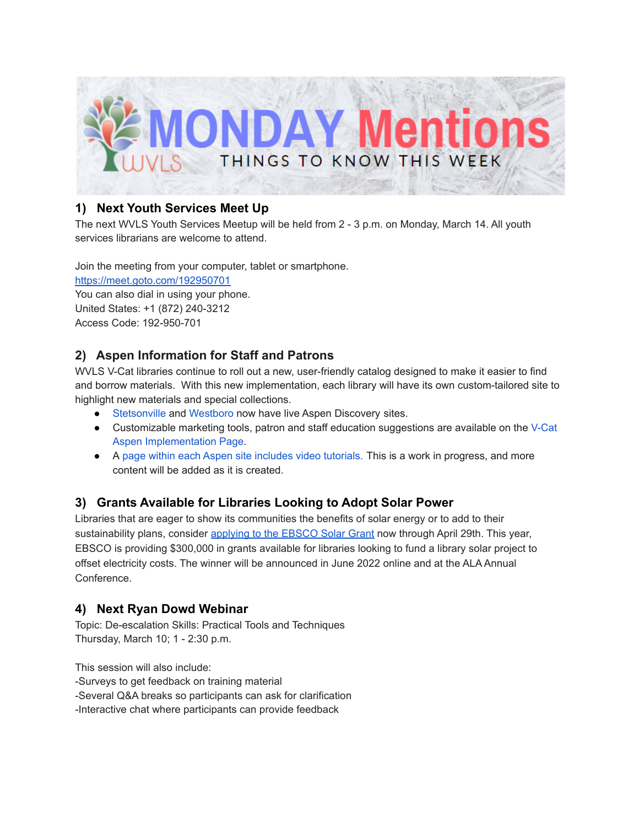

#### **1) Next Youth Services Meet Up**

The next WVLS Youth Services Meetup will be held from 2 - 3 p.m. on Monday, March 14. All youth services librarians are welcome to attend.

Join the meeting from your computer, tablet or smartphone.

<https://meet.goto.com/192950701>

You can also dial in using your phone. United States: +1 (872) 240-3212 Access Code: 192-950-701

## **2) Aspen Information for Staff and Patrons**

WVLS V-Cat libraries continue to roll out a new, user-friendly catalog designed to make it easier to find and borrow materials. With this new implementation, each library will have its own custom-tailored site to highlight new materials and special collections.

- [Stetsonville](https://jmtml.catalog.wvls.org/) and [Westboro](https://westboro.catalog.wvls.org/) now have live Aspen Discovery sites.
- Customizable marketing tools, patron and staff education suggestions are available on the [V-Cat](https://www.wvls.org/v-cat-aspen-implementation/) Aspen [Implementation](https://www.wvls.org/v-cat-aspen-implementation/) Page.
- A page within each Aspen site includes video [tutorials.](https://wvls.aspendiscovery.org/Introducing-Aspen) This is a work in progress, and more content will be added as it is created.

## **3) Grants Available for Libraries Looking to Adopt Solar Power**

Libraries that are eager to show its communities the benefits of solar energy or to add to their sustainability plans, consider [applying](https://www.ebsco.com/solar?mkt_tok=Njg5LUxOUS04NTUAAAGCzGkvSJT_C-1HQd-0KIGYQyw2Gb2-st2Ylrl81XsUEiMQAgZHkkuU3KoGPWuxwGE-npNMdKe9BdMnjUyjiZwuHd61w_kIWayYzIwYdKD4vQNr) to the EBSCO Solar Grant now through April 29th. This year, EBSCO is providing \$300,000 in grants available for libraries looking to fund a library solar project to offset electricity costs. The winner will be announced in June 2022 online and at the ALA Annual Conference.

#### **4) Next Ryan Dowd Webinar**

Topic: De-escalation Skills: Practical Tools and Techniques Thursday, March 10; 1 - 2:30 p.m.

This session will also include:

-Surveys to get feedback on training material

-Several Q&A breaks so participants can ask for clarification

-Interactive chat where participants can provide feedback